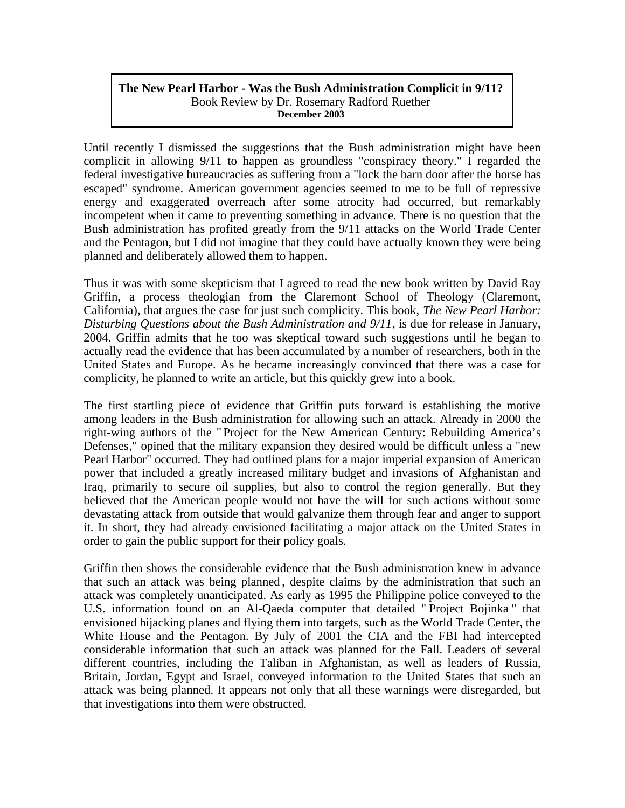## **The New Pearl Harbor - Was the Bush Administration Complicit in 9/11?**  Book Review by Dr. Rosemary Radford Ruether **December 2003**

Until recently I dismissed the suggestions that the Bush administration might have been complicit in allowing 9/11 to happen as groundless "conspiracy theory." I regarded the federal investigative bureaucracies as suffering from a "lock the barn door after the horse has escaped" syndrome. American government agencies seemed to me to be full of repressive energy and exaggerated overreach after some atrocity had occurred, but remarkably incompetent when it came to preventing something in advance. There is no question that the Bush administration has profited greatly from the 9/11 attacks on the World Trade Center and the Pentagon, but I did not imagine that they could have actually known they were being planned and deliberately allowed them to happen.

Thus it was with some skepticism that I agreed to read the new book written by David Ray Griffin, a process theologian from the Claremont School of Theology (Claremont, California), that argues the case for just such complicity. This book, *The New Pearl Harbor: Disturbing Questions about the Bush Administration and 9/11*, is due for release in January, 2004. Griffin admits that he too was skeptical toward such suggestions until he began to actually read the evidence that has been accumulated by a number of researchers, both in the United States and Europe. As he became increasingly convinced that there was a case for complicity, he planned to write an article, but this quickly grew into a book.

The first startling piece of evidence that Griffin puts forward is establishing the motive among leaders in the Bush administration for allowing such an attack. Already in 2000 the right-wing authors of the " Project for the New American Century: Rebuilding America's Defenses," opined that the military expansion they desired would be difficult unless a "new Pearl Harbor" occurred. They had outlined plans for a major imperial expansion of American power that included a greatly increased military budget and invasions of Afghanistan and Iraq, primarily to secure oil supplies, but also to control the region generally. But they believed that the American people would not have the will for such actions without some devastating attack from outside that would galvanize them through fear and anger to support it. In short, they had already envisioned facilitating a major attack on the United States in order to gain the public support for their policy goals.

Griffin then shows the considerable evidence that the Bush administration knew in advance that such an attack was being planned , despite claims by the administration that such an attack was completely unanticipated. As early as 1995 the Philippine police conveyed to the U.S. information found on an Al-Qaeda computer that detailed " Project Bojinka " that envisioned hijacking planes and flying them into targets, such as the World Trade Center, the White House and the Pentagon. By July of 2001 the CIA and the FBI had intercepted considerable information that such an attack was planned for the Fall. Leaders of several different countries, including the Taliban in Afghanistan, as well as leaders of Russia, Britain, Jordan, Egypt and Israel, conveyed information to the United States that such an attack was being planned. It appears not only that all these warnings were disregarded, but that investigations into them were obstructed.